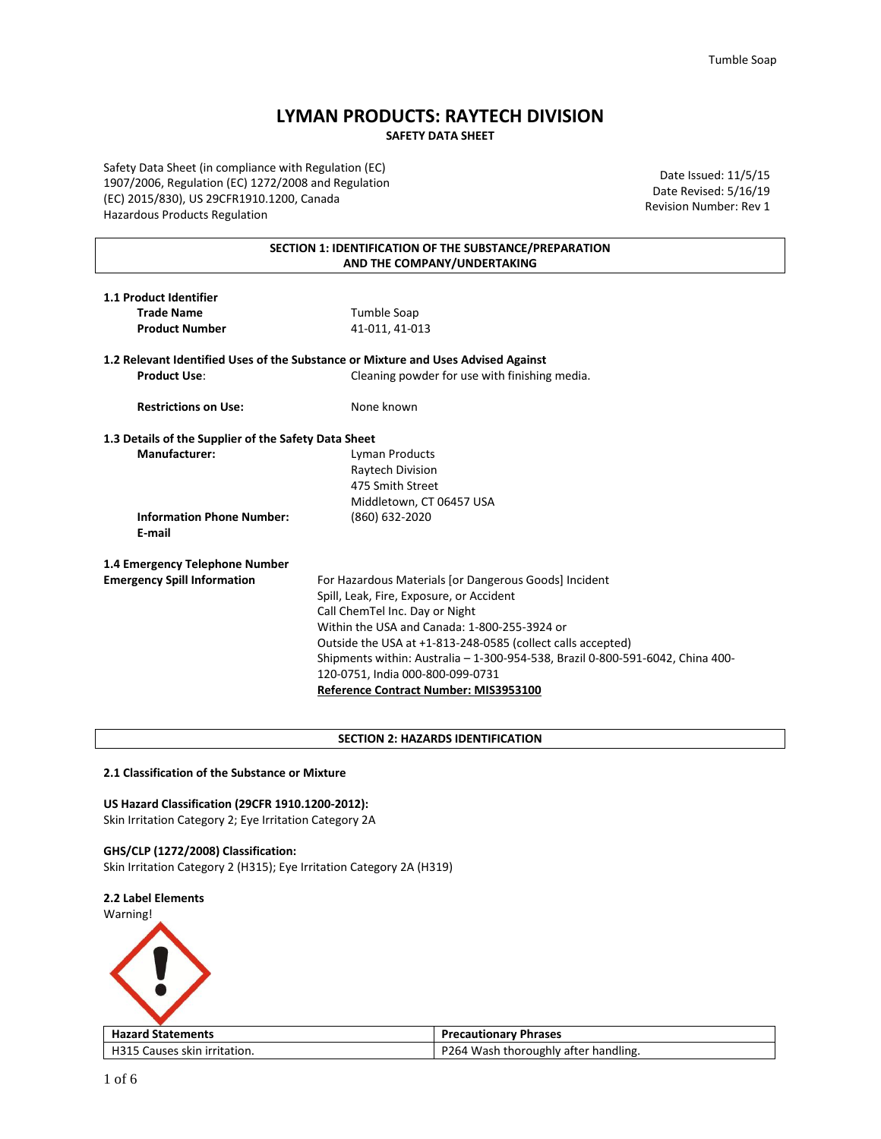# **LYMAN PRODUCTS: RAYTECH DIVISION SAFETY DATA SHEET**

Safety Data Sheet (in compliance with Regulation (EC) 1907/2006, Regulation (EC) 1272/2008 and Regulation (EC) 2015/830), US 29CFR1910.1200, Canada Hazardous Products Regulation

Date Issued: 11/5/15 Date Revised: 5/16/19 Revision Number: Rev 1

## **SECTION 1: IDENTIFICATION OF THE SUBSTANCE/PREPARATION AND THE COMPANY/UNDERTAKING**

| 1.1 Product Identifier      |                                                                                   |
|-----------------------------|-----------------------------------------------------------------------------------|
| <b>Trade Name</b>           | Tumble Soap                                                                       |
| <b>Product Number</b>       | 41-011, 41-013                                                                    |
|                             | 1.2 Relevant Identified Uses of the Substance or Mixture and Uses Advised Against |
| <b>Product Use:</b>         | Cleaning powder for use with finishing media.                                     |
| <b>Restrictions on Use:</b> | None known                                                                        |

**1.3 Details of the Supplier of the Safety Data Sheet Manufacturer:** Lyman Products Raytech Division 475 Smith Street

**Information Phone Number:** (860) 632-2020 **E-mail**

**1.4 Emergency Telephone Number**

**Emergency Spill Information** For Hazardous Materials [or Dangerous Goods] Incident Spill, Leak, Fire, Exposure, or Accident Call ChemTel Inc. Day or Night Within the USA and Canada: 1-800-255-3924 or Outside the USA at +1-813-248-0585 (collect calls accepted) Shipments within: Australia – 1-300-954-538, Brazil 0-800-591-6042, China 400- 120-0751, India 000-800-099-0731 **Reference Contract Number: MIS3953100**

## **SECTION 2: HAZARDS IDENTIFICATION**

Middletown, CT 06457 USA

## **2.1 Classification of the Substance or Mixture**

## **US Hazard Classification (29CFR 1910.1200-2012):**

Skin Irritation Category 2; Eye Irritation Category 2A

### **GHS/CLP (1272/2008) Classification:**

Skin Irritation Category 2 (H315); Eye Irritation Category 2A (H319)

## **2.2 Label Elements**





| <b>Hazard Statements</b>     | <b>Precautionary Phrases</b>         |
|------------------------------|--------------------------------------|
| H315 Causes skin irritation. | P264 Wash thoroughly after handling. |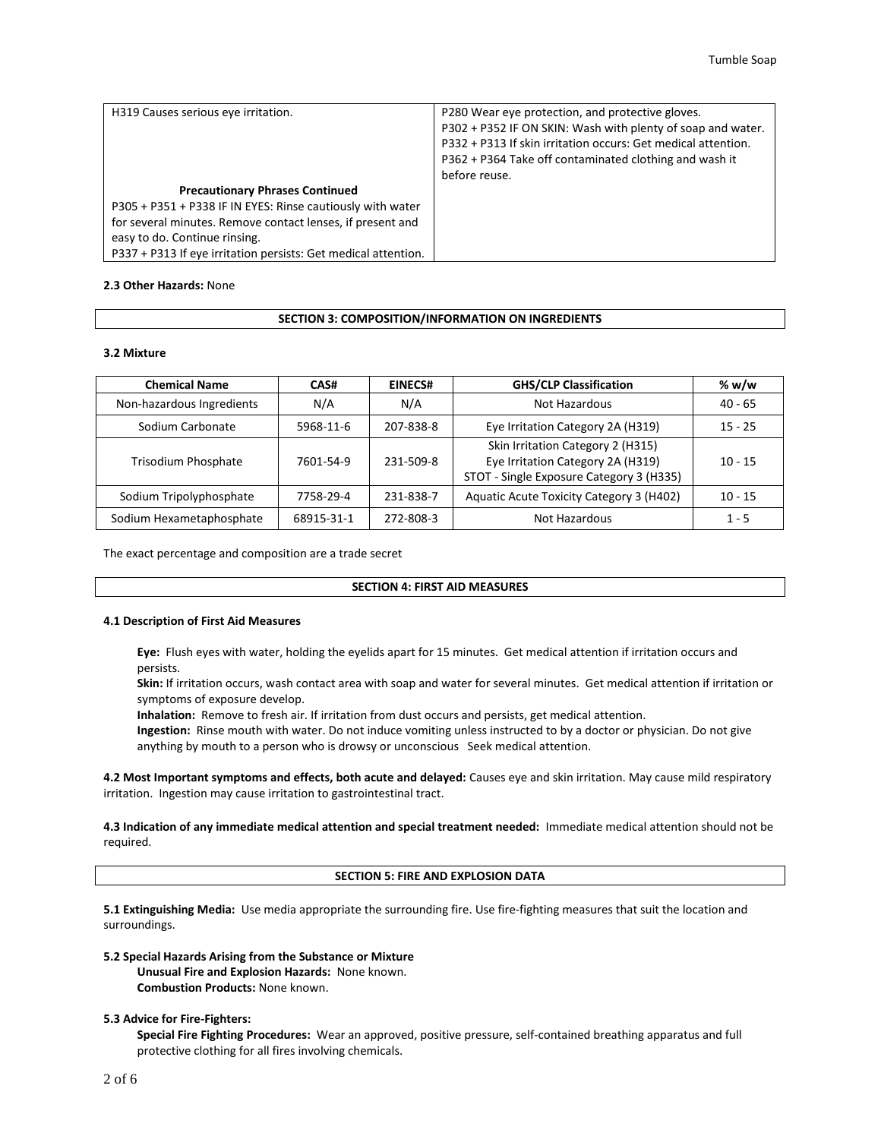| H319 Causes serious eye irritation.                                                                                                                                                                                                                                   | P280 Wear eye protection, and protective gloves.<br>P302 + P352 IF ON SKIN: Wash with plenty of soap and water.<br>P332 + P313 If skin irritation occurs: Get medical attention.<br>P362 + P364 Take off contaminated clothing and wash it<br>before reuse. |
|-----------------------------------------------------------------------------------------------------------------------------------------------------------------------------------------------------------------------------------------------------------------------|-------------------------------------------------------------------------------------------------------------------------------------------------------------------------------------------------------------------------------------------------------------|
| <b>Precautionary Phrases Continued</b><br>P305 + P351 + P338 IF IN EYES: Rinse cautiously with water<br>for several minutes. Remove contact lenses, if present and<br>easy to do. Continue rinsing.<br>P337 + P313 If eye irritation persists: Get medical attention. |                                                                                                                                                                                                                                                             |

### **2.3 Other Hazards:** None

### **SECTION 3: COMPOSITION/INFORMATION ON INGREDIENTS**

### **3.2 Mixture**

| <b>Chemical Name</b>      | CAS#       | <b>GHS/CLP Classification</b><br><b>EINECS#</b> |                                                                                                                    | % w/w     |
|---------------------------|------------|-------------------------------------------------|--------------------------------------------------------------------------------------------------------------------|-----------|
| Non-hazardous Ingredients | N/A        | N/A                                             | Not Hazardous                                                                                                      | $40 - 65$ |
| Sodium Carbonate          | 5968-11-6  | 207-838-8                                       | Eye Irritation Category 2A (H319)                                                                                  | $15 - 25$ |
| Trisodium Phosphate       | 7601-54-9  | 231-509-8                                       | Skin Irritation Category 2 (H315)<br>Eye Irritation Category 2A (H319)<br>STOT - Single Exposure Category 3 (H335) | $10 - 15$ |
| Sodium Tripolyphosphate   | 7758-29-4  | 231-838-7                                       | Aquatic Acute Toxicity Category 3 (H402)                                                                           | $10 - 15$ |
| Sodium Hexametaphosphate  | 68915-31-1 | 272-808-3                                       | Not Hazardous                                                                                                      | $1 - 5$   |

The exact percentage and composition are a trade secret

### **SECTION 4: FIRST AID MEASURES**

## **4.1 Description of First Aid Measures**

**Eye:** Flush eyes with water, holding the eyelids apart for 15 minutes. Get medical attention if irritation occurs and persists.

**Skin:** If irritation occurs, wash contact area with soap and water for several minutes. Get medical attention if irritation or symptoms of exposure develop.

**Inhalation:** Remove to fresh air. If irritation from dust occurs and persists, get medical attention.

**Ingestion:** Rinse mouth with water. Do not induce vomiting unless instructed to by a doctor or physician. Do not give anything by mouth to a person who is drowsy or unconscious Seek medical attention.

**4.2 Most Important symptoms and effects, both acute and delayed:** Causes eye and skin irritation. May cause mild respiratory irritation. Ingestion may cause irritation to gastrointestinal tract.

**4.3 Indication of any immediate medical attention and special treatment needed:** Immediate medical attention should not be required.

## **SECTION 5: FIRE AND EXPLOSION DATA**

**5.1 Extinguishing Media:** Use media appropriate the surrounding fire. Use fire-fighting measures that suit the location and surroundings.

## **5.2 Special Hazards Arising from the Substance or Mixture**

**Unusual Fire and Explosion Hazards:** None known. **Combustion Products:** None known.

## **5.3 Advice for Fire-Fighters:**

**Special Fire Fighting Procedures:** Wear an approved, positive pressure, self-contained breathing apparatus and full protective clothing for all fires involving chemicals.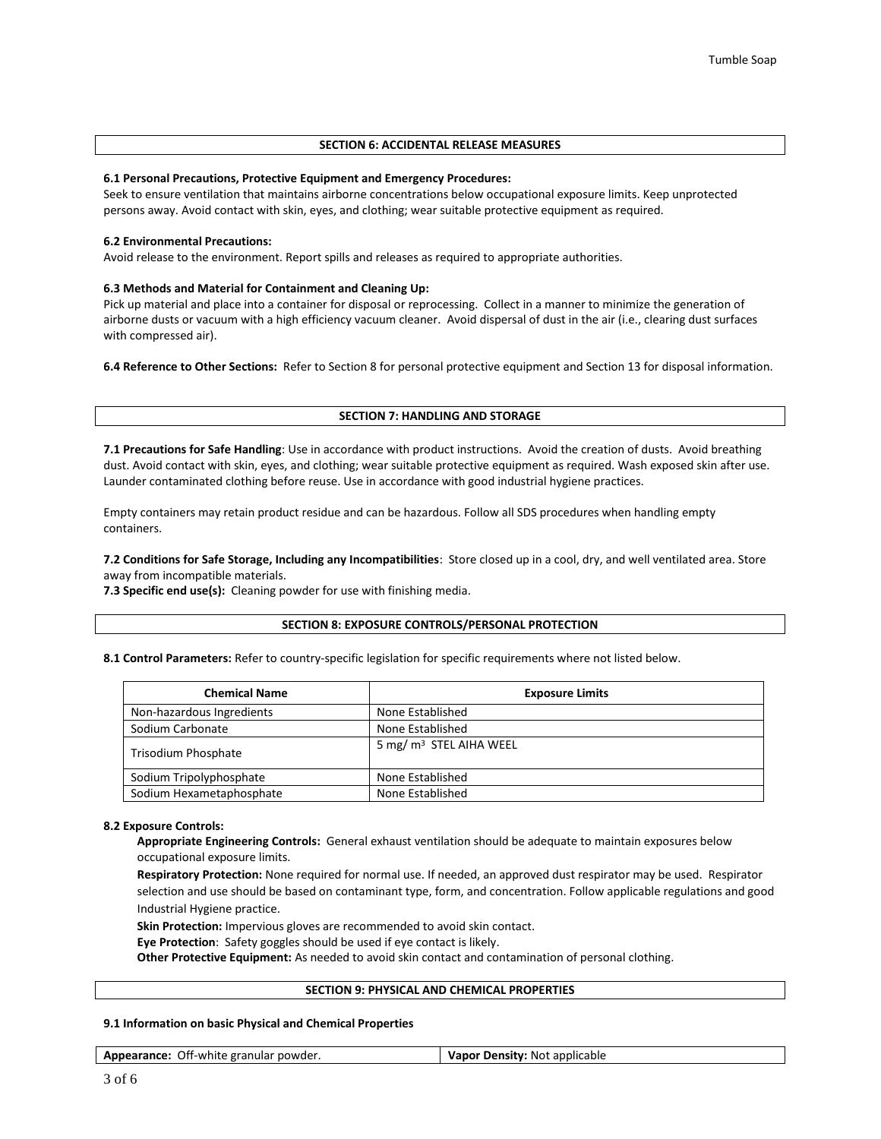## **SECTION 6: ACCIDENTAL RELEASE MEASURES**

### **6.1 Personal Precautions, Protective Equipment and Emergency Procedures:**

Seek to ensure ventilation that maintains airborne concentrations below occupational exposure limits. Keep unprotected persons away. Avoid contact with skin, eyes, and clothing; wear suitable protective equipment as required.

### **6.2 Environmental Precautions:**

Avoid release to the environment. Report spills and releases as required to appropriate authorities.

### **6.3 Methods and Material for Containment and Cleaning Up:**

Pick up material and place into a container for disposal or reprocessing. Collect in a manner to minimize the generation of airborne dusts or vacuum with a high efficiency vacuum cleaner. Avoid dispersal of dust in the air (i.e., clearing dust surfaces with compressed air).

**6.4 Reference to Other Sections:** Refer to Section 8 for personal protective equipment and Section 13 for disposal information.

### **SECTION 7: HANDLING AND STORAGE**

**7.1 Precautions for Safe Handling**: Use in accordance with product instructions. Avoid the creation of dusts. Avoid breathing dust. Avoid contact with skin, eyes, and clothing; wear suitable protective equipment as required. Wash exposed skin after use. Launder contaminated clothing before reuse. Use in accordance with good industrial hygiene practices.

Empty containers may retain product residue and can be hazardous. Follow all SDS procedures when handling empty containers.

**7.2 Conditions for Safe Storage, Including any Incompatibilities**: Store closed up in a cool, dry, and well ventilated area. Store away from incompatible materials.

**7.3 Specific end use(s):** Cleaning powder for use with finishing media.

## **SECTION 8: EXPOSURE CONTROLS/PERSONAL PROTECTION**

**8.1 Control Parameters:** Refer to country-specific legislation for specific requirements where not listed below.

| <b>Chemical Name</b>      | <b>Exposure Limits</b>              |
|---------------------------|-------------------------------------|
| Non-hazardous Ingredients | None Established                    |
| Sodium Carbonate          | None Established                    |
| Trisodium Phosphate       | 5 mg/ m <sup>3</sup> STEL AIHA WEEL |
| Sodium Tripolyphosphate   | None Established                    |
| Sodium Hexametaphosphate  | None Established                    |

#### **8.2 Exposure Controls:**

**Appropriate Engineering Controls:** General exhaust ventilation should be adequate to maintain exposures below occupational exposure limits.

**Respiratory Protection:** None required for normal use. If needed, an approved dust respirator may be used. Respirator selection and use should be based on contaminant type, form, and concentration. Follow applicable regulations and good Industrial Hygiene practice.

**Skin Protection:** Impervious gloves are recommended to avoid skin contact.

**Eye Protection**: Safety goggles should be used if eye contact is likely.

**Other Protective Equipment:** As needed to avoid skin contact and contamination of personal clothing.

## **SECTION 9: PHYSICAL AND CHEMICAL PROPERTIES**

## **9.1 Information on basic Physical and Chemical Properties**

**Appearance:** Off-white granular powder. **Vapor Density:** Not applicable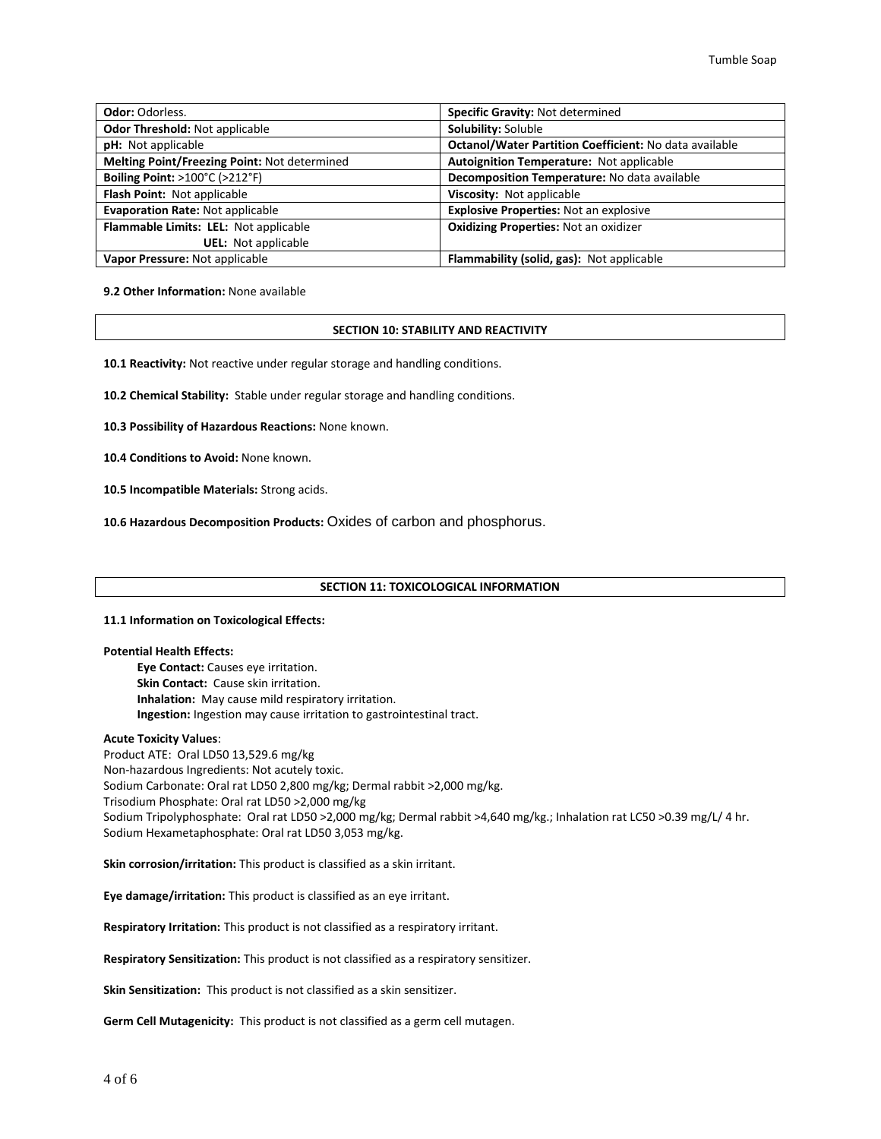| <b>Odor: Odorless.</b>                       | Specific Gravity: Not determined                       |
|----------------------------------------------|--------------------------------------------------------|
| Odor Threshold: Not applicable               | Solubility: Soluble                                    |
| pH: Not applicable                           | Octanol/Water Partition Coefficient: No data available |
| Melting Point/Freezing Point: Not determined | Autoignition Temperature: Not applicable               |
| <b>Boiling Point: &gt;100°C (&gt;212°F)</b>  | Decomposition Temperature: No data available           |
| Flash Point: Not applicable                  | Viscosity: Not applicable                              |
| <b>Evaporation Rate: Not applicable</b>      | <b>Explosive Properties: Not an explosive</b>          |
| Flammable Limits: LEL: Not applicable        | <b>Oxidizing Properties: Not an oxidizer</b>           |
| <b>UEL:</b> Not applicable                   |                                                        |
| Vapor Pressure: Not applicable               | Flammability (solid, gas): Not applicable              |

**9.2 Other Information:** None available

### **SECTION 10: STABILITY AND REACTIVITY**

**10.1 Reactivity:** Not reactive under regular storage and handling conditions.

**10.2 Chemical Stability:** Stable under regular storage and handling conditions.

**10.3 Possibility of Hazardous Reactions:** None known.

**10.4 Conditions to Avoid:** None known.

**10.5 Incompatible Materials:** Strong acids.

**10.6 Hazardous Decomposition Products:** Oxides of carbon and phosphorus.

## **SECTION 11: TOXICOLOGICAL INFORMATION**

#### **11.1 Information on Toxicological Effects:**

### **Potential Health Effects:**

**Eye Contact:** Causes eye irritation. **Skin Contact:** Cause skin irritation. **Inhalation:** May cause mild respiratory irritation. **Ingestion:** Ingestion may cause irritation to gastrointestinal tract.

#### **Acute Toxicity Values**:

Product ATE: Oral LD50 13,529.6 mg/kg Non-hazardous Ingredients: Not acutely toxic. Sodium Carbonate: Oral rat LD50 2,800 mg/kg; Dermal rabbit >2,000 mg/kg. Trisodium Phosphate: Oral rat LD50 >2,000 mg/kg Sodium Tripolyphosphate: Oral rat LD50 >2,000 mg/kg; Dermal rabbit >4,640 mg/kg.; Inhalation rat LC50 >0.39 mg/L/ 4 hr. Sodium Hexametaphosphate: Oral rat LD50 3,053 mg/kg.

**Skin corrosion/irritation:** This product is classified as a skin irritant.

**Eye damage/irritation:** This product is classified as an eye irritant.

**Respiratory Irritation:** This product is not classified as a respiratory irritant.

**Respiratory Sensitization:** This product is not classified as a respiratory sensitizer.

**Skin Sensitization:** This product is not classified as a skin sensitizer.

**Germ Cell Mutagenicity:** This product is not classified as a germ cell mutagen.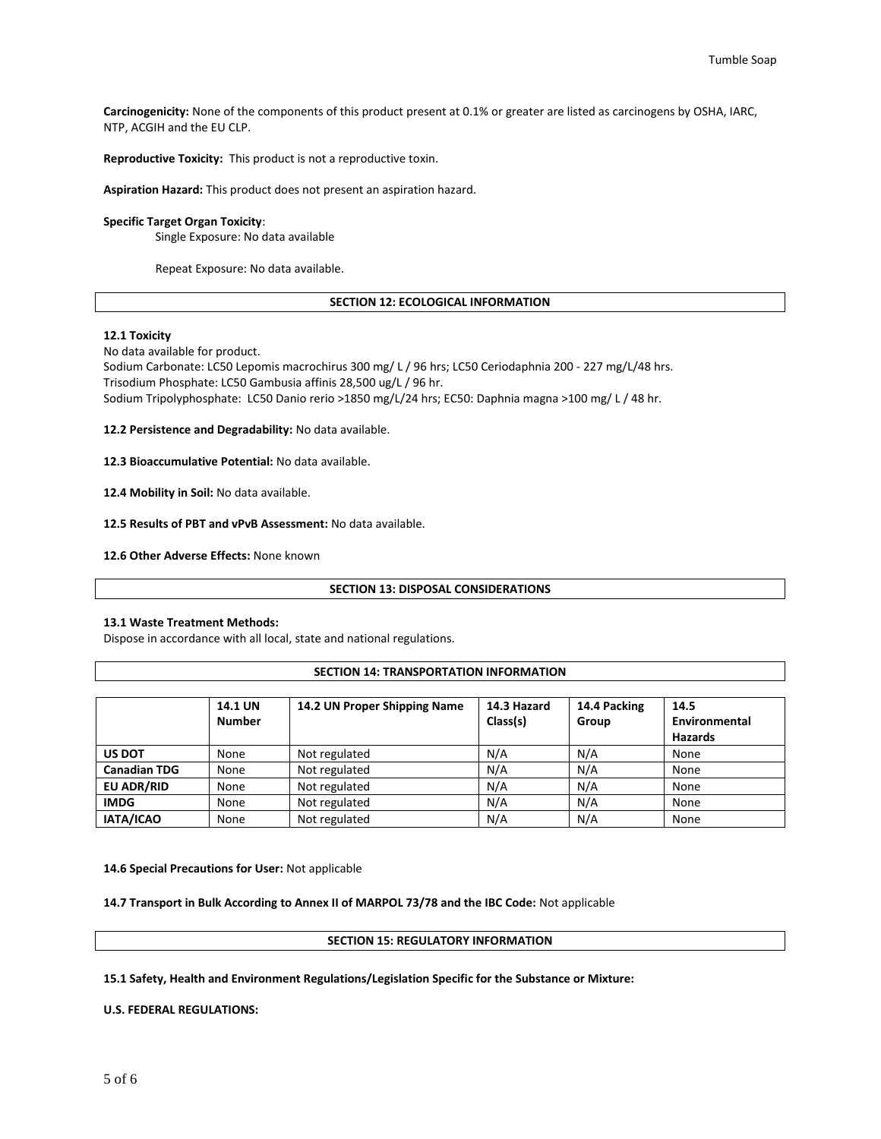**Carcinogenicity:** None of the components of this product present at 0.1% or greater are listed as carcinogens by OSHA, IARC, NTP, ACGIH and the EU CLP.

**Reproductive Toxicity:** This product is not a reproductive toxin.

**Aspiration Hazard:** This product does not present an aspiration hazard.

## **Specific Target Organ Toxicity**:

Single Exposure: No data available

Repeat Exposure: No data available.

## **SECTION 12: ECOLOGICAL INFORMATION**

### **12.1 Toxicity**

No data available for product.

Sodium Carbonate: LC50 Lepomis macrochirus 300 mg/ L / 96 hrs; LC50 Ceriodaphnia 200 - 227 mg/L/48 hrs. Trisodium Phosphate: LC50 Gambusia affinis 28,500 ug/L / 96 hr. Sodium Tripolyphosphate: LC50 Danio rerio >1850 mg/L/24 hrs; EC50: Daphnia magna >100 mg/ L / 48 hr.

**12.2 Persistence and Degradability:** No data available.

**12.3 Bioaccumulative Potential:** No data available.

**12.4 Mobility in Soil:** No data available.

**12.5 Results of PBT and vPvB Assessment:** No data available.

**12.6 Other Adverse Effects:** None known

#### **SECTION 13: DISPOSAL CONSIDERATIONS**

### **13.1 Waste Treatment Methods:**

Dispose in accordance with all local, state and national regulations.

### **SECTION 14: TRANSPORTATION INFORMATION**

|                     | <b>14.1 UN</b><br><b>Number</b> | 14.2 UN Proper Shipping Name | 14.3 Hazard<br>Class(s) | 14.4 Packing<br>Group | 14.5<br>Environmental<br><b>Hazards</b> |
|---------------------|---------------------------------|------------------------------|-------------------------|-----------------------|-----------------------------------------|
| <b>US DOT</b>       | None                            | Not regulated                | N/A                     | N/A                   | None                                    |
| <b>Canadian TDG</b> | None                            | Not regulated                | N/A                     | N/A                   | None                                    |
| <b>EU ADR/RID</b>   | None                            | Not regulated                | N/A                     | N/A                   | None                                    |
| <b>IMDG</b>         | None                            | Not regulated                | N/A                     | N/A                   | None                                    |
| IATA/ICAO           | None                            | Not regulated                | N/A                     | N/A                   | None                                    |

**14.6 Special Precautions for User:** Not applicable

**14.7 Transport in Bulk According to Annex II of MARPOL 73/78 and the IBC Code:** Not applicable

**SECTION 15: REGULATORY INFORMATION**

**15.1 Safety, Health and Environment Regulations/Legislation Specific for the Substance or Mixture:**

**U.S. FEDERAL REGULATIONS:**